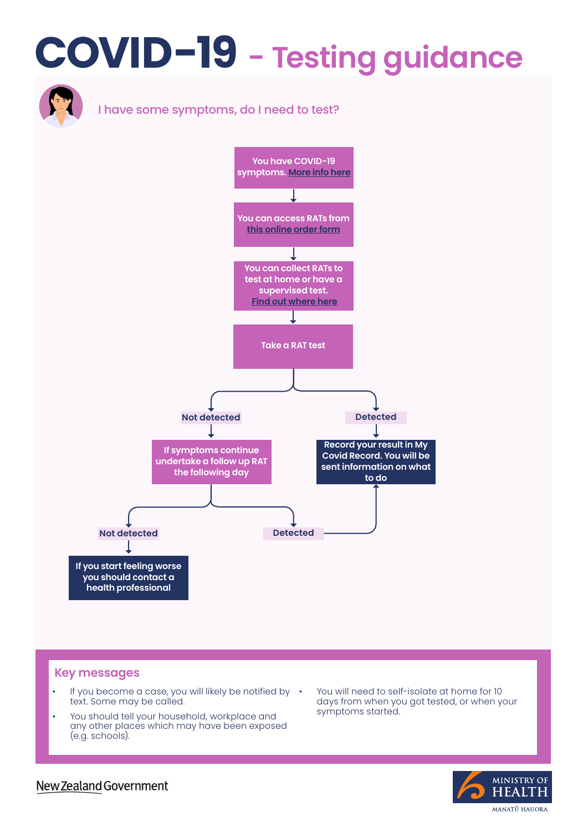# **COVID-19 - Testing guidance**



#### **Key messages**

- If you become a case, you will likely be notified by text. Some may be called.
- You should tell your household, workplace and any other places which may have been exposed (e.g. schools).
- You will need to self-isolate at home for 10 days from when you got tested, or when your symptoms started.



### New Zealand Government